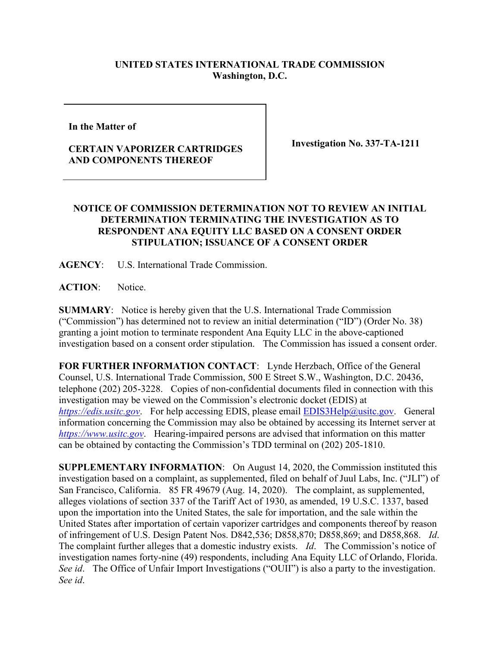## **UNITED STATES INTERNATIONAL TRADE COMMISSION Washington, D.C.**

**In the Matter of** 

## **CERTAIN VAPORIZER CARTRIDGES AND COMPONENTS THEREOF**

**Investigation No. 337-TA-1211**

## **NOTICE OF COMMISSION DETERMINATION NOT TO REVIEW AN INITIAL DETERMINATION TERMINATING THE INVESTIGATION AS TO RESPONDENT ANA EQUITY LLC BASED ON A CONSENT ORDER STIPULATION; ISSUANCE OF A CONSENT ORDER**

**AGENCY**: U.S. International Trade Commission.

**ACTION**: Notice.

**SUMMARY**: Notice is hereby given that the U.S. International Trade Commission ("Commission") has determined not to review an initial determination ("ID") (Order No. 38) granting a joint motion to terminate respondent Ana Equity LLC in the above-captioned investigation based on a consent order stipulation. The Commission has issued a consent order.

**FOR FURTHER INFORMATION CONTACT**: Lynde Herzbach, Office of the General Counsel, U.S. International Trade Commission, 500 E Street S.W., Washington, D.C. 20436, telephone (202) 205-3228. Copies of non-confidential documents filed in connection with this investigation may be viewed on the Commission's electronic docket (EDIS) at *[https://edis.usitc.gov](https://edis.usitc.gov/).* For help accessing EDIS, please email [EDIS3Help@usitc.gov.](mailto:EDIS3Help@usitc.gov) General information concerning the Commission may also be obtained by accessing its Internet server at *[https://www.usitc.gov](https://www.usitc.gov/)*. Hearing-impaired persons are advised that information on this matter can be obtained by contacting the Commission's TDD terminal on (202) 205-1810.

**SUPPLEMENTARY INFORMATION**: On August 14, 2020, the Commission instituted this investigation based on a complaint, as supplemented, filed on behalf of Juul Labs, Inc. ("JLI") of San Francisco, California. 85 FR 49679 (Aug. 14, 2020). The complaint, as supplemented, alleges violations of section 337 of the Tariff Act of 1930, as amended, 19 U.S.C. 1337, based upon the importation into the United States, the sale for importation, and the sale within the United States after importation of certain vaporizer cartridges and components thereof by reason of infringement of U.S. Design Patent Nos. D842,536; D858,870; D858,869; and D858,868. *Id*. The complaint further alleges that a domestic industry exists. *Id*. The Commission's notice of investigation names forty-nine (49) respondents, including Ana Equity LLC of Orlando, Florida. *See id.* The Office of Unfair Import Investigations ("OUII") is also a party to the investigation. *See id*.